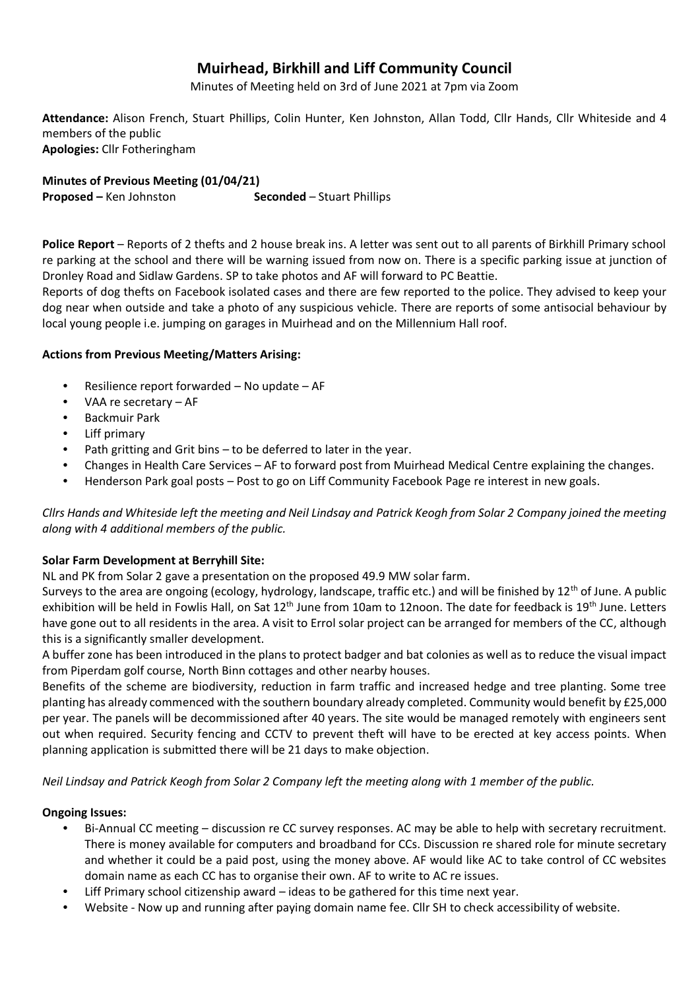# **Muirhead, Birkhill and Liff Community Council**

Minutes of Meeting held on 3rd of June 2021 at 7pm via Zoom

**Attendance:** Alison French, Stuart Phillips, Colin Hunter, Ken Johnston, Allan Todd, Cllr Hands, Cllr Whiteside and 4 members of the public **Apologies:** Cllr Fotheringham

**Minutes of Previous Meeting (01/04/21) Proposed** – Ken Johnston **Seconded** – Stuart Phillips

**Police Report** – Reports of 2 thefts and 2 house break ins. A letter was sent out to all parents of Birkhill Primary school re parking at the school and there will be warning issued from now on. There is a specific parking issue at junction of Dronley Road and Sidlaw Gardens. SP to take photos and AF will forward to PC Beattie.

Reports of dog thefts on Facebook isolated cases and there are few reported to the police. They advised to keep your dog near when outside and take a photo of any suspicious vehicle. There are reports of some antisocial behaviour by local young people i.e. jumping on garages in Muirhead and on the Millennium Hall roof.

## **Actions from Previous Meeting/Matters Arising:**

- Resilience report forwarded No update AF
- VAA re secretary AF
- Backmuir Park
- Liff primarv
- Path gritting and Grit bins to be deferred to later in the year.
- Changes in Health Care Services AF to forward post from Muirhead Medical Centre explaining the changes.
- Henderson Park goal posts Post to go on Liff Community Facebook Page re interest in new goals.

*Cllrs Hands and Whiteside left the meeting and Neil Lindsay and Patrick Keogh from Solar 2 Company joined the meeting along with 4 additional members of the public.*

#### **Solar Farm Development at Berryhill Site:**

NL and PK from Solar 2 gave a presentation on the proposed 49.9 MW solar farm.

Surveys to the area are ongoing (ecology, hydrology, landscape, traffic etc.) and will be finished by  $12<sup>th</sup>$  of June. A public exhibition will be held in Fowlis Hall, on Sat  $12<sup>th</sup>$  June from 10am to 12noon. The date for feedback is  $19<sup>th</sup>$  June. Letters have gone out to all residents in the area. A visit to Errol solar project can be arranged for members of the CC, although this is a significantly smaller development.

A buffer zone has been introduced in the plans to protect badger and bat colonies as well as to reduce the visual impact from Piperdam golf course, North Binn cottages and other nearby houses.

Benefits of the scheme are biodiversity, reduction in farm traffic and increased hedge and tree planting. Some tree planting has already commenced with the southern boundary already completed. Community would benefit by £25,000 per year. The panels will be decommissioned after 40 years. The site would be managed remotely with engineers sent out when required. Security fencing and CCTV to prevent theft will have to be erected at key access points. When planning application is submitted there will be 21 days to make objection.

*Neil Lindsay and Patrick Keogh from Solar 2 Company left the meeting along with 1 member of the public.*

#### **Ongoing Issues:**

- Bi-Annual CC meeting discussion re CC survey responses. AC may be able to help with secretary recruitment. There is money available for computers and broadband for CCs. Discussion re shared role for minute secretary and whether it could be a paid post, using the money above. AF would like AC to take control of CC websites domain name as each CC has to organise their own. AF to write to AC re issues.
- Liff Primary school citizenship award ideas to be gathered for this time next year.
- Website Now up and running after paying domain name fee. Cllr SH to check accessibility of website.